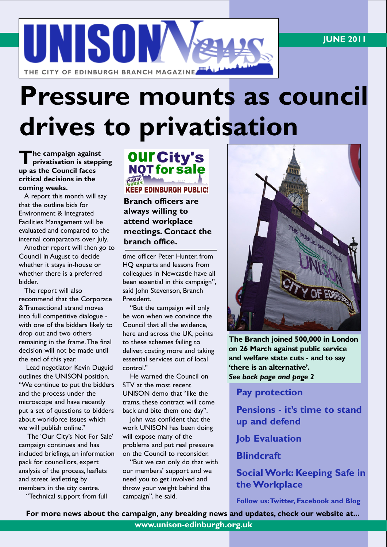

# Pressure mounts as council drives to privatisation

The campaign against<br>privatisation is stepp privatisation is stepping up as the Council faces critical decisions in the coming weeks.

A report this month will say that the outline bids for Environment & Integrated Facilities Management will be evaluated and compared to the internal comparators over July.

Another report will then go to Council in August to decide whether it stays in-house or whether there is a preferred bidder.

The report will also recommend that the Corporate & Transactional strand moves into full competitive dialogue with one of the bidders likely to drop out and two others remaining in the frame.The final decision will not be made until the end of this year.

Lead negotiator Kevin Duguid outlines the UNISON position. "We continue to put the bidders and the process under the microscope and have recently put a set of questions to bidders about workforce issues which we will publish online."

The 'Our City's Not For Sale' campaign continues and has included briefings, an information pack for councillors, expert analysis of the process, leaflets and street leafletting by members in the city centre.

"Technical support from full



Branch officers are always willing to attend workplace meetings. Contact the branch office.

time officer Peter Hunter, from HQ experts and lessons from colleagues in Newcastle have all been essential in this campaign", said John Stevenson, Branch President.

"But the campaign will only be won when we convince the Council that all the evidence, here and across the UK, points to these schemes failing to deliver, costing more and taking essential services out of local control."

He warned the Council on STV at the most recent UNISON demo that "like the trams, these contract will come back and bite them one day".

John was confident that the work UNISON has been doing will expose many of the problems and put real pressure on the Council to reconsider.

"But we can only do that with our members' support and we need you to get involved and throw your weight behind the campaign", he said.



The Branch joined 500,000 in London on 26 March against public service and welfare state cuts - and to say 'there is an alternative'. See back page and page 2

Pay protection

Pensions - it's time to stand up and defend

Job Evaluation

**Blindcraft** 

#### Social Work: Keeping Safe in the Workplace

Follow us:Twitter, Facebook and Blog

For more news about the campaign, any breaking news and updates, check our website at...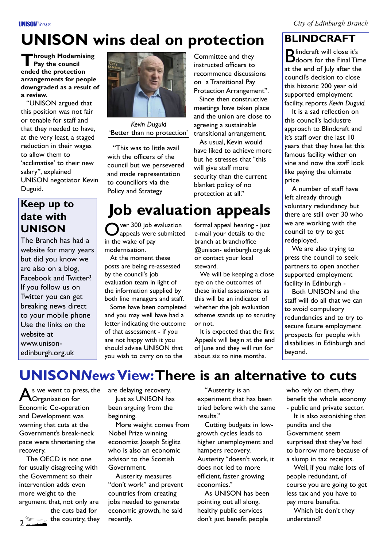#### City of Edinburgh Branch

#### **UNISON** *<u>Cus</u>*

# UNISON wins deal on protection

**Through Modernising**<br>Pay the council Pay the council ended the protection arrangements for people downgraded as a result of a review.

"UNISON argued that this position was not fair or tenable for staff and that they needed to have, at the very least, a staged reduction in their wages to allow them to 'acclimatise' to their new salary", explained UNISON negotiator Kevin Duguid.

### Keep up to date with UNISON

The Branch has had a website for many years but did you know we are also on a blog, Facebook and Twitter? If you follow us on Twitter you can get breaking news direct to your mobile phone Use the links on the website at www.unisonedinburgh.org.uk



Kevin Duguid 'Better than no protection'

"This was to little avail with the officers of the council but we persevered and made representation to councillors via the Policy and Strategy

Committee and they instructed officers to recommence discussions on a Transitional Pay Protection Arrangement".

Since then constructive meetings have taken place and the union are close to agreeing a sustainable transitional arrangement.

As usual, Kevin would have liked to achieve more but he stresses that "this will give staff more security than the current blanket policy of no protection at all."

## Job evaluation appeals

O ver 300 job evaluation appeals were submitted in the wake of pay modernisation.

At the moment these posts are being re-assessed by the council's job evaluation team in light of the information supplied by both line managers and staff.

Some have been completed and you may well have had a letter indicating the outcome of that assessment - if you are not happy with it you should advise UNISON that you wish to carry on to the

formal appeal hearing - just e-mail your details to the branch at branchoffice @unison- edinburgh.org.uk or contact your local steward.

We will be keeping a close eye on the outcomes of these initial assessments as this will be an indicator of whether the job evaluation scheme stands up to scrutiny or not.

It is expected that the first Appeals will begin at the end of June and they will run for about six to nine months.

### BLINDCRAFT

Blindcraft will close it's<br>Bdoors for the Final Ti doors for the Final Time at the end of July after the council's decision to close this historic 200 year old supported employment facility, reports Kevin Duguid.

It is a sad reflection on this council's lacklustre approach to Blindcraft and it's staff over the last 10 years that they have let this famous facility wither on vine and now the staff look like paying the ultimate price.

A number of staff have left already through voluntary redundancy but there are still over 30 who we are working with the council to try to get redeployed.

We are also trying to press the council to seek partners to open another supported employment facility in Edinburgh -

Both UNISON and the staff will do all that we can to avoid compulsory redundancies and to try to secure future employment prospects for people with disabilities in Edinburgh and beyond.

## UNISONNews View:There is an alternative to cuts

As we went to press, the<br> **A**Organisation for Organisation for Economic Co-operation and Development was warning that cuts at the Government's break-neck pace were threatening the recovery.

The OECD is not one for usually disagreeing with the Government so their intervention adds even more weight to the argument that, not only are the cuts bad for

2

the country, they

are delaying recovery. Just as UNISON has been arguing from the beginning.

More weight comes from Nobel Prize winning economist Joseph Stiglitz who is also an economic advisor to the Scottish Government.

Austerity measures "don't work" and prevent countries from creating jobs needed to generate economic growth, he said recently.

"Austerity is an experiment that has been tried before with the same results."

Cutting budgets in lowgrowth cycles leads to higher unemployment and hampers recovery. Austerity "doesn't work, it does not led to more efficient, faster growing economies."

As UNISON has been pointing out all along, healthy public services don't just benefit people

who rely on them, they benefit the whole economy - public and private sector.

It is also astonishing that pundits and the Government seem surprised that they've had to borrow more because of a slump in tax receipts.

Well, if you make lots of people redundant, of course you are going to get less tax and you have to pay more benefits.

Which bit don't they understand?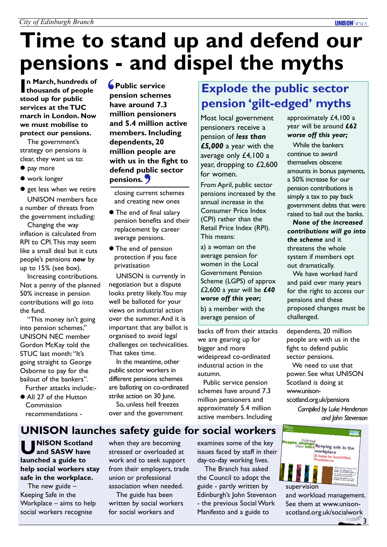# Time to stand up and defend our pensions - and dispel the myths

In March, hundreds of<br>thousands of people thousands of people stood up for public services at the TUC march in London. Now we must mobilise to protect our pensions.

The government's strategy on pensions is clear, they want us to:

- $\bullet$  pay more
- $\bullet$  work longer

• get less when we retire UNISON members face a number of threats from the government including:

Changing the way inflation is calculated from RPI to CPI.This may seem like a small deal but it cuts people's pensions now by up to 15% (see box).

Increasing contributions. Not a penny of the planned 50% increase in pension contributions will go into the fund.

"This money isn't going into pension schemes,' UNISON NEC member Gordon McKay told the STUC last month:"It's going straight to George Osborne to pay for the bailout of the bankers". Further attacks include:-

• All 27 of the Hutton Commission recommendations -

Public service pension schemes have around 7.3 million pensioners and 5.4 million active members. Including dependents, 20 million people are with us in the fight to defend public sector<br>
pensions.<br>
Closing current schemes pensions. 7  $\frac{1}{\sqrt{2}}$ 

closing current schemes and creating new ones

- **The end of final salary** pension benefits and their replacement by career average pensions.
- **The end of pension** protection if you face privatisation

UNISON is currently in negotiation but a dispute looks pretty likely.You may well be balloted for your views on industrial action over the summer.And it is important that any ballot is organised to avoid legal challenges on technicalities. That takes time.

In the meantime, other public sector workers in different pensions schemes are balloting on co-ordinated strike action on 30 June.

So, unless hell freezes over and the government

## Explode the public sector pension 'gilt-edged' myths

Most local government pensioners receive a pension of less than £5,000 a year with the average only £4,100 a year, dropping to £2,600 for women.

From April, public sector pensions increased by the annual increase in the Consumer Price Index (CPI) rather than the Retail Price Index (RPI). This means:

a) a woman on the average pension for women in the Local Government Pension Scheme (LGPS) of approx £2,600 a year will be  $£40$ worse off this year;

b) a member with the average pension of

backs off from their attacks we are gearing up for bigger and more widespread co-ordinated industrial action in the autumn.

Public service pension schemes have around 7.3 million pensioners and approximately 5.4 million active members. Including

approximately £4,100 a year will be around £62 worse off this year;

**UNISON** *<u>leure</u>* 

While the bankers continue to award themselves obscene amounts in bonus payments, a 50% increase for our pension contributions is simply a tax to pay back government debts that were raised to bail out the banks.

None of the increased contributions will go into the scheme and it threatens the whole system if members opt out dramatically.

We have worked hard and paid over many years for the right to access our pensions and these proposed changes must be challenged.

dependents, 20 million people are with us in the fight to defend public sector pensions.

We need to use that power. See what UNISON Scotland is doing at www.unisonscotland.org.uk/pensions

Compiled by Luke Henderson

and John Stevenson

### UNISON launches safety guide for social workers

U NISON Scotland and SASW have launched a guide to help social workers stay safe in the workplace.

The new guide – Keeping Safe in the Workplace – aims to help social workers recognise

when they are becoming stressed or overloaded at work and to seek support from their employers, trade union or professional association when needed.

The guide has been written by social workers for social workers and

examines some of the key issues faced by staff in their day-to-day working lives.

The Branch has asked the Council to adopt the guide - partly written by Edinburgh's John Stevenson - the previous Social Work Manifesto and a guide to



and workload management. See them at www.unisonscotland.org.uk/socialwork